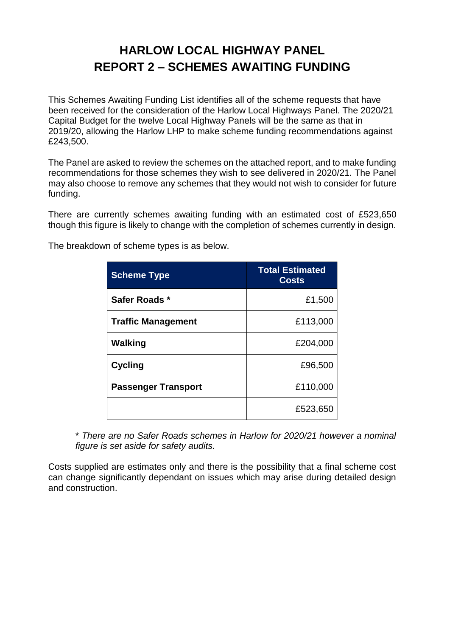## **HARLOW LOCAL HIGHWAY PANEL REPORT 2 – SCHEMES AWAITING FUNDING**

This Schemes Awaiting Funding List identifies all of the scheme requests that have been received for the consideration of the Harlow Local Highways Panel. The 2020/21 Capital Budget for the twelve Local Highway Panels will be the same as that in 2019/20, allowing the Harlow LHP to make scheme funding recommendations against £243,500.

The Panel are asked to review the schemes on the attached report, and to make funding recommendations for those schemes they wish to see delivered in 2020/21. The Panel may also choose to remove any schemes that they would not wish to consider for future funding.

There are currently schemes awaiting funding with an estimated cost of £523,650 though this figure is likely to change with the completion of schemes currently in design.

| <b>Scheme Type</b>         | <b>Total Estimated</b><br><b>Costs</b> |
|----------------------------|----------------------------------------|
| Safer Roads *              | £1,500                                 |
| <b>Traffic Management</b>  | £113,000                               |
| Walking                    | £204,000                               |
| <b>Cycling</b>             | £96,500                                |
| <b>Passenger Transport</b> | £110,000                               |
|                            | £523,650                               |

The breakdown of scheme types is as below.

\* *There are no Safer Roads schemes in Harlow for 2020/21 however a nominal figure is set aside for safety audits.*

Costs supplied are estimates only and there is the possibility that a final scheme cost can change significantly dependant on issues which may arise during detailed design and construction.